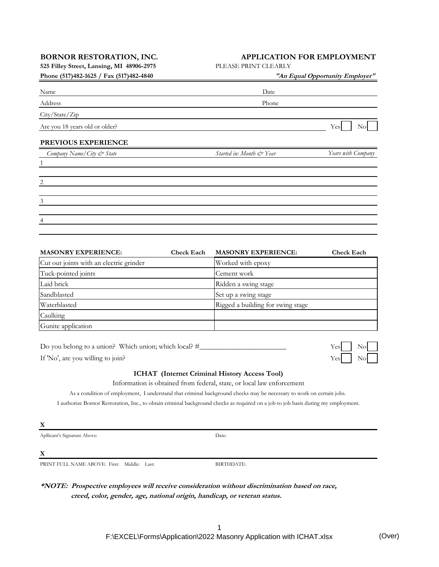**525 Filley Street, Lansing, MI 48906-2975** PLEASE PRINT CLEARLY

## **BORNOR RESTORATION, INC. APPLICATION FOR EMPLOYMENT**

| "An Equal Opportunity Employer" |                    |  |  |
|---------------------------------|--------------------|--|--|
| Date                            |                    |  |  |
| Phone                           |                    |  |  |
|                                 |                    |  |  |
|                                 | Yes<br>No          |  |  |
|                                 |                    |  |  |
| Started in: Month & Year        | Years with Company |  |  |
|                                 |                    |  |  |
|                                 |                    |  |  |
|                                 |                    |  |  |
|                                 |                    |  |  |
|                                 |                    |  |  |
|                                 |                    |  |  |

| <b>MASONRY EXPERIENCE:</b>              | <b>Check Each</b> | <b>MASONRY EXPERIENCE:</b>        | <b>Check Each</b> |
|-----------------------------------------|-------------------|-----------------------------------|-------------------|
| Cut out joints with an electric grinder |                   | Worked with epoxy                 |                   |
| Tuck-pointed joints                     |                   | Cement work                       |                   |
| Laid brick                              |                   | Ridden a swing stage              |                   |
| Sandblasted                             |                   | Set up a swing stage              |                   |
| Waterblasted                            |                   | Rigged a building for swing stage |                   |
| Caulking                                |                   |                                   |                   |
| Gunite application                      |                   |                                   |                   |

Do you belong to a union? Which union; which local? #\_\_\_\_\_\_\_\_\_\_\_\_\_\_\_\_\_\_\_\_\_\_\_\_ Yes No

If 'No', are you willing to join? Yes

## **ICHAT (Internet Criminal History Access Tool)**

Information is obtained from federal, state, or local law enforcement

As a condition of employment, I understand that criminal background checks may be necessary to work on certain jobs.

I authorize Bornor Restoration, Inc., to obtain criminal background checks as required on a job to job basis during my employment.

$$
\underline{\mathbf{X}}
$$

Apllicant's Signature Above:

Date:

**X**

PRINT FULL NAME ABOVE: First: Middle: Last:

BIRTHDATE:

**\*NOTE: Prospective employees will receive consideration without discrimination based on race, creed, color, gender, age, national origin, handicap, or veteran status.**

> 1 F:\EXCEL\Forms\Application\2022 Masonry Application with ICHAT.xlsx (Over)